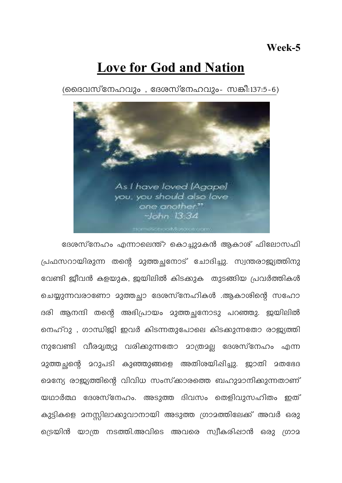## **Love for God and Nation**

(മൈവസ്നേഹവും , ദേശസ്നേഹവും- സങ്കീ:137:5-6)



ദേശസ്നേഹം എന്നാലെന്ത്? കൊച്ചുമകൻ ആകാശ് ഫിലോസഫി പ്രഫസറായിരുന്ന തന്റെ മുത്തച്ഛനോട് ചോദിച്ചു. സ്വന്തരാജ്യത്തിനു വേണ്ടി ജീവൻ കളയുക, ജയിലിൽ കിടക്കുക തുടങ്ങിയ പ്രവർത്തികൾ ചെയ്യുന്നവരാണോ മുത്തച്ചാ ദേശസ്നേഹികൾ .ആകാശിന്റെ സഹോ ദരി ആനന്ദി തന്റെ അഭിപ്രായം മുത്തച്ഛനോടു പറഞ്ഞു. ജയിലിൽ നെഹ്റു , ഗാന്ധിജി ഇവർ കിടന്നതുപോലെ കിടക്കുന്നതോ രാജ്യത്തി നുവേണ്ടി വീരമൃത്യു വരിക്കുന്നതോ മാത്രമല്ല ദേശസ്നേഹം എന്ന 23ത്തചന്റെ 2റുപടി കുഞ്ഞുങ്ങളെ അതിശയിപ്പിച്ചു. ജാതി 2തഭേദ മെന്യേ രാജ്യത്തിന്റെ വിവിധ സംസ്കാരത്തെ ബഹുമാനിക്കുന്നതാണ് യഥാർത്ഥ ദേശസ്നേഹം. അടുത്ത ദിവസം തെളിവുസഹിതം ഇത് കുട്ടികളെ മനസ്സിലാക്കുവാനായി അടുത്ത ഗ്രാമത്തിലേക്ക് അവർ ഒരു ട്രെയിൻ യാത്ര നടത്തി.അവിടെ അവരെ സ്വീകരിഷാൻ ഒരു ഗ്രാമ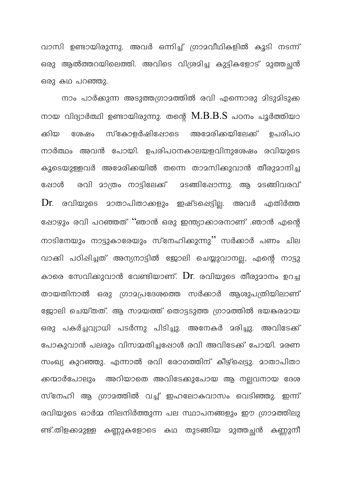വാസി ഉണ്ടായിരുന്നു. അവർ ഒന്നിച്ച് ഗ്രാമവീഥികളിൽ കൂടി നടന്ന് ഒരു ആൽത്തറയിലെത്തി. അവിടെ വിശ്രമിച്ച കുട്ടികളോട് മുത്തച്ഛൻ ഒരു കഥ പറഞ്ഞു.

നാം പാർക്കുന്ന അടുത്തഗ്രാമത്തിൽ രവി എന്നൊരു മിടുമിടുക്ക നായ വിദ്യാർത്ഥി ഉണ്ടായിരുന്നു. തന്റെ  $\rm M.B.B.S$  പഠനം പൂർത്തിയാ സ്കോളർഷിഷോടെ ഉപരിപഠ ക്കിയ അമേരിക്കയിലേക്ക് ശേഷം നാർത്ഥം അവൻ പോയി. ഉപരിപഠനകാലയളവിനുശേഷം രവിയുടെ കുടെയുള്ളവർ അമേരിക്കയിൽ തന്നെ താമസിക്കുവാൻ തീരുമാനിച്ച രവി മാത്രം നാട്ടിലേക്ക് <u> മടങ്ങിഷോന്നു. ആ മടങ്ങിവരവ്</u> പ്പോൾ  $\operatorname{Dr}_\cdot$  രവിയുടെ മാതാപിതാക്കളും ഇഷ്ടപ്പെട്ടില്ല. അവർ എതിർത്ത ഷോഴും രവി പറഞ്ഞത് ''ഞാൻ ഒരു ഇന്ത്യാക്കാരനാണ് .ഞാൻ എന്റെ നാടിനേയും നാട്ടുകാരേയും സ്നേഹിക്കുന്നു'' സർക്കാർ പണം ചില വാക്കി പഠിപ്പിച്ചത് അന്യനാട്ടിൽ ജോലി ചെയ്യുവാനല്ല, എന്റെ നാട്ടു കാരെ സേവിക്കുവാൻ വേണ്ടിയാണ്.  $Dr$ . രവിയുടെ തീരുമാനം ഉറച്ച തായതിനാൽ ഒരു ഗ്രാമപ്രദേശത്തെ സർക്കാർ ആശുപത്രിയിലാണ് ജോലി ചെയ്തത്. ആ സമയത്ത് തൊട്ടടുത്ത ഗ്രാമത്തിൽ ഭയങ്കരമായ ഒരു പകർച്ചവ്യാധി പടർന്നു പിടിച്ചു. അനേകർ മരിച്ചു. അവിടേക്ക് പോകുവാൻ പലരും വിസമ്മതിച്ചപ്പോൾ രവി അവിടേക്ക് പോയി. മരണ സംഖ്യ കുറഞ്ഞു. എന്നാൽ രവി രോഗത്തിന് കീഴ്പ്പെട്ടു. മാതാപിതാ ക്കന്മാർപോലും അറിയാതെ അവിടേക്കുപോയ ആ നലവനായ ദേശ സ്നേഹി ആ ഗ്രാമത്തിൽ വച്ച് ഇഹലോകവാസം വെടിഞ്ഞു. ഇന്ന് രവിയുടെ ഓർമ്മ നിലനിർത്തുന്ന പല സ്ഥാപനങ്ങളും ഈ ഗ്രാമത്തിലു ണ്ട്.തിളക്കമുള്ള കണ്ണുകളോടെ കഥ തുടങ്ങിയ മുത്തച്ഛൻ കണ്ണുനീ